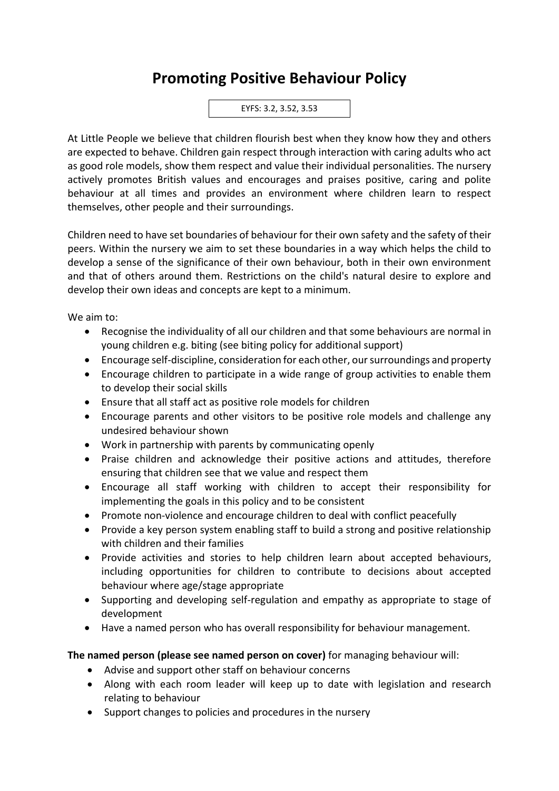## **Promoting Positive Behaviour Policy**

EYFS: 3.2, 3.52, 3.53

At Little People we believe that children flourish best when they know how they and others are expected to behave. Children gain respect through interaction with caring adults who act as good role models, show them respect and value their individual personalities. The nursery actively promotes British values and encourages and praises positive, caring and polite behaviour at all times and provides an environment where children learn to respect themselves, other people and their surroundings.

Children need to have set boundaries of behaviour for their own safety and the safety of their peers. Within the nursery we aim to set these boundaries in a way which helps the child to develop a sense of the significance of their own behaviour, both in their own environment and that of others around them. Restrictions on the child's natural desire to explore and develop their own ideas and concepts are kept to a minimum.

We aim to:

- Recognise the individuality of all our children and that some behaviours are normal in young children e.g. biting (see biting policy for additional support)
- Encourage self-discipline, consideration for each other, our surroundings and property
- Encourage children to participate in a wide range of group activities to enable them to develop their social skills
- Ensure that all staff act as positive role models for children
- Encourage parents and other visitors to be positive role models and challenge any undesired behaviour shown
- Work in partnership with parents by communicating openly
- Praise children and acknowledge their positive actions and attitudes, therefore ensuring that children see that we value and respect them
- Encourage all staff working with children to accept their responsibility for implementing the goals in this policy and to be consistent
- Promote non-violence and encourage children to deal with conflict peacefully
- Provide a key person system enabling staff to build a strong and positive relationship with children and their families
- Provide activities and stories to help children learn about accepted behaviours, including opportunities for children to contribute to decisions about accepted behaviour where age/stage appropriate
- Supporting and developing self-regulation and empathy as appropriate to stage of development
- Have a named person who has overall responsibility for behaviour management.

## **The named person (please see named person on cover)** for managing behaviour will:

- Advise and support other staff on behaviour concerns
- Along with each room leader will keep up to date with legislation and research relating to behaviour
- Support changes to policies and procedures in the nursery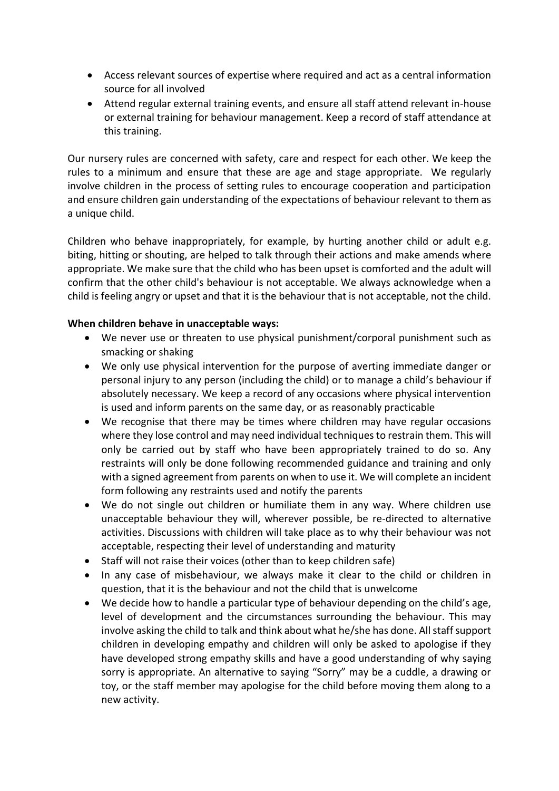- Access relevant sources of expertise where required and act as a central information source for all involved
- Attend regular external training events, and ensure all staff attend relevant in-house or external training for behaviour management. Keep a record of staff attendance at this training.

Our nursery rules are concerned with safety, care and respect for each other. We keep the rules to a minimum and ensure that these are age and stage appropriate. We regularly involve children in the process of setting rules to encourage cooperation and participation and ensure children gain understanding of the expectations of behaviour relevant to them as a unique child.

Children who behave inappropriately, for example, by hurting another child or adult e.g. biting, hitting or shouting, are helped to talk through their actions and make amends where appropriate. We make sure that the child who has been upset is comforted and the adult will confirm that the other child's behaviour is not acceptable. We always acknowledge when a child is feeling angry or upset and that it is the behaviour that is not acceptable, not the child.

## **When children behave in unacceptable ways:**

- We never use or threaten to use physical punishment/corporal punishment such as smacking or shaking
- We only use physical intervention for the purpose of averting immediate danger or personal injury to any person (including the child) or to manage a child's behaviour if absolutely necessary. We keep a record of any occasions where physical intervention is used and inform parents on the same day, or as reasonably practicable
- We recognise that there may be times where children may have regular occasions where they lose control and may need individual techniques to restrain them. This will only be carried out by staff who have been appropriately trained to do so. Any restraints will only be done following recommended guidance and training and only with a signed agreement from parents on when to use it. We will complete an incident form following any restraints used and notify the parents
- We do not single out children or humiliate them in any way. Where children use unacceptable behaviour they will, wherever possible, be re-directed to alternative activities. Discussions with children will take place as to why their behaviour was not acceptable, respecting their level of understanding and maturity
- Staff will not raise their voices (other than to keep children safe)
- In any case of misbehaviour, we always make it clear to the child or children in question, that it is the behaviour and not the child that is unwelcome
- We decide how to handle a particular type of behaviour depending on the child's age, level of development and the circumstances surrounding the behaviour. This may involve asking the child to talk and think about what he/she has done. All staff support children in developing empathy and children will only be asked to apologise if they have developed strong empathy skills and have a good understanding of why saying sorry is appropriate. An alternative to saying "Sorry" may be a cuddle, a drawing or toy, or the staff member may apologise for the child before moving them along to a new activity.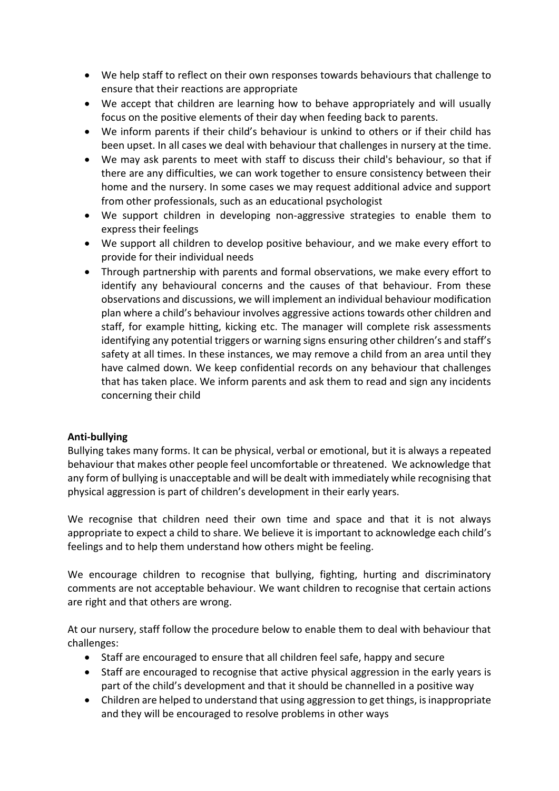- We help staff to reflect on their own responses towards behaviours that challenge to ensure that their reactions are appropriate
- We accept that children are learning how to behave appropriately and will usually focus on the positive elements of their day when feeding back to parents.
- We inform parents if their child's behaviour is unkind to others or if their child has been upset. In all cases we deal with behaviour that challenges in nursery at the time.
- We may ask parents to meet with staff to discuss their child's behaviour, so that if there are any difficulties, we can work together to ensure consistency between their home and the nursery. In some cases we may request additional advice and support from other professionals, such as an educational psychologist
- We support children in developing non-aggressive strategies to enable them to express their feelings
- We support all children to develop positive behaviour, and we make every effort to provide for their individual needs
- Through partnership with parents and formal observations, we make every effort to identify any behavioural concerns and the causes of that behaviour. From these observations and discussions, we will implement an individual behaviour modification plan where a child's behaviour involves aggressive actions towards other children and staff, for example hitting, kicking etc. The manager will complete risk assessments identifying any potential triggers or warning signs ensuring other children's and staff's safety at all times. In these instances, we may remove a child from an area until they have calmed down. We keep confidential records on any behaviour that challenges that has taken place. We inform parents and ask them to read and sign any incidents concerning their child

## **Anti-bullying**

Bullying takes many forms. It can be physical, verbal or emotional, but it is always a repeated behaviour that makes other people feel uncomfortable or threatened. We acknowledge that any form of bullying is unacceptable and will be dealt with immediately while recognising that physical aggression is part of children's development in their early years.

We recognise that children need their own time and space and that it is not always appropriate to expect a child to share. We believe it is important to acknowledge each child's feelings and to help them understand how others might be feeling.

We encourage children to recognise that bullying, fighting, hurting and discriminatory comments are not acceptable behaviour. We want children to recognise that certain actions are right and that others are wrong.

At our nursery, staff follow the procedure below to enable them to deal with behaviour that challenges:

- Staff are encouraged to ensure that all children feel safe, happy and secure
- Staff are encouraged to recognise that active physical aggression in the early years is part of the child's development and that it should be channelled in a positive way
- Children are helped to understand that using aggression to get things, is inappropriate and they will be encouraged to resolve problems in other ways